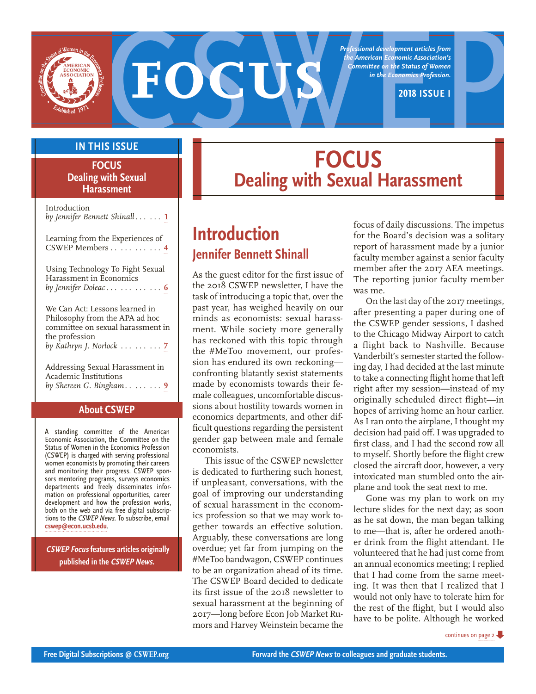

*Professional development articles from the American Economic Association's Committee on the Status of Women in the Economics Profession.*

#### **IN THIS ISSUE**

**FOCUS Dealing with Sexual Harassment**

| Introduction<br>by Jennifer Bennett Shinall $\ldots$ 1                                                                                                |
|-------------------------------------------------------------------------------------------------------------------------------------------------------|
| Learning from the Experiences of<br>CSWEP Members 4                                                                                                   |
| Using Technology To Fight Sexual<br>Harassment in Economics<br>by Jennifer Doleac    6                                                                |
| We Can Act: Lessons learned in<br>Philosophy from the APA ad hoc<br>committee on sexual harassment in<br>the profession<br>by Kathryn J. Norlock    7 |
| Addressing Sexual Harassment in<br><b>Academic Institutions</b><br>by Shereen G. Bingham $9$                                                          |

#### **About CSWEP**

A standing committee of the American Economic Association, the Committee on the Status of Women in the Economics Profession (CSWEP) is charged with serving professional women economists by promoting their careers and monitoring their progress. CSWEP sponsors mentoring programs, surveys economics departments and freely disseminates information on professional opportunities, career development and how the profession works, both on the web and via free digital subscriptions to the CSWEP News. To subscribe, email **cswep@econ.ucsb.edu**.

 **CSWEP Focus features articles originally published in the CSWEP News.**

# **FOCUS Dealing with Sexual Harassment**

# **Introduction Jennifer Bennett Shinall**

As the guest editor for the first issue of the 2018 CSWEP newsletter, I have the task of introducing a topic that, over the past year, has weighed heavily on our minds as economists: sexual harassment. While society more generally has reckoned with this topic through the #MeToo movement, our profession has endured its own reckoning confronting blatantly sexist statements made by economists towards their female colleagues, uncomfortable discussions about hostility towards women in economics departments, and other difficult questions regarding the persistent gender gap between male and female economists.

This issue of the CSWEP newsletter is dedicated to furthering such honest, if unpleasant, conversations, with the goal of improving our understanding of sexual harassment in the economics profession so that we may work together towards an effective solution. Arguably, these conversations are long overdue; yet far from jumping on the #MeToo bandwagon, CSWEP continues to be an organization ahead of its time. The CSWEP Board decided to dedicate its first issue of the 2018 newsletter to sexual harassment at the beginning of 2017—long before Econ Job Market Rumors and Harvey Weinstein became the focus of daily discussions. The impetus for the Board's decision was a solitary report of harassment made by a junior faculty member against a senior faculty member after the 2017 AEA meetings. The reporting junior faculty member was me.

On the last day of the 2017 meetings, after presenting a paper during one of the CSWEP gender sessions, I dashed to the Chicago Midway Airport to catch a flight back to Nashville. Because Vanderbilt's semester started the following day, I had decided at the last minute to take a connecting flight home that left right after my session—instead of my originally scheduled direct flight—in hopes of arriving home an hour earlier. As I ran onto the airplane, I thought my decision had paid off. I was upgraded to first class, and I had the second row all to myself. Shortly before the flight crew closed the aircraft door, however, a very intoxicated man stumbled onto the airplane and took the seat next to me.

Gone was my plan to work on my lecture slides for the next day; as soon as he sat down, the man began talking to me—that is, after he ordered another drink from the flight attendant. He volunteered that he had just come from an annual economics meeting; I replied that I had come from the same meeting. It was then that I realized that I would not only have to tolerate him for the rest of the flight, but I would also have to be polite. Although he worked

continues on page 2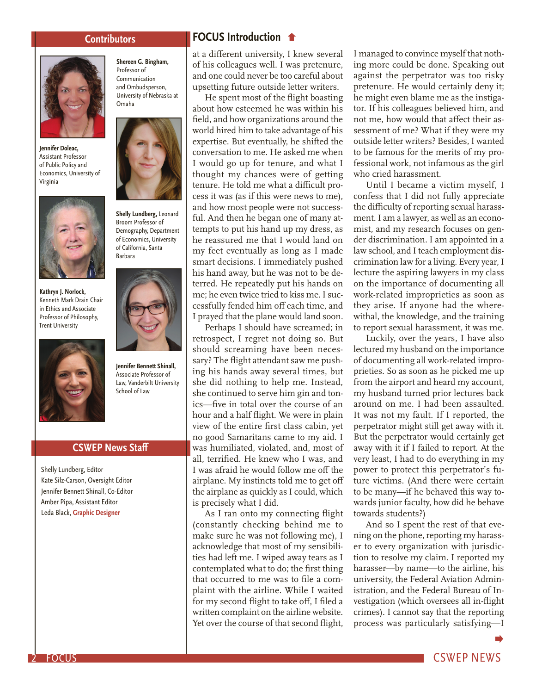**Shereen G. Bingham,** Professor of Communication and Ombudsperson, University of Nebraska at

Omaha



**Jennifer Doleac,** Assistant Professor of Public Policy and Economics, University of Virginia



**Kathryn J. Norlock,** Kenneth Mark Drain Chair in Ethics and Associate Professor of Philosophy, Trent University



**Jennifer Bennett Shinall,**  Associate Professor of Law, Vanderbilt University School of Law

**Shelly Lundberg,** Leonard Broom Professor of Demography, Department of Economics, University of California, Santa Barbara

#### **CSWEP News Staff**

Shelly Lundberg, Editor Kate Silz-Carson, Oversight Editor Jennifer Bennett Shinall, Co-Editor Amber Pipa, Assistant Editor Leda Black, **Graphic Designer**

#### **Contributors FOCUS Introduction**

at a different university, I knew several of his colleagues well. I was pretenure, and one could never be too careful about upsetting future outside letter writers.

He spent most of the flight boasting about how esteemed he was within his field, and how organizations around the world hired him to take advantage of his expertise. But eventually, he shifted the conversation to me. He asked me when I would go up for tenure, and what I thought my chances were of getting tenure. He told me what a difficult process it was (as if this were news to me), and how most people were not successful. And then he began one of many attempts to put his hand up my dress, as he reassured me that I would land on my feet eventually as long as I made smart decisions. I immediately pushed his hand away, but he was not to be deterred. He repeatedly put his hands on me; he even twice tried to kiss me. I successfully fended him off each time, and I prayed that the plane would land soon.

Perhaps I should have screamed; in retrospect, I regret not doing so. But should screaming have been necessary? The flight attendant saw me pushing his hands away several times, but she did nothing to help me. Instead, she continued to serve him gin and tonics—five in total over the course of an hour and a half flight. We were in plain view of the entire first class cabin, yet no good Samaritans came to my aid. I was humiliated, violated, and, most of all, terrified. He knew who I was, and I was afraid he would follow me off the airplane. My instincts told me to get off the airplane as quickly as I could, which is precisely what I did.

As I ran onto my connecting flight (constantly checking behind me to make sure he was not following me), I acknowledge that most of my sensibilities had left me. I wiped away tears as I contemplated what to do; the first thing that occurred to me was to file a complaint with the airline. While I waited for my second flight to take off, I filed a written complaint on the airline website. Yet over the course of that second flight, I managed to convince myself that nothing more could be done. Speaking out against the perpetrator was too risky pretenure. He would certainly deny it; he might even blame me as the instigator. If his colleagues believed him, and not me, how would that affect their assessment of me? What if they were my outside letter writers? Besides, I wanted to be famous for the merits of my professional work, not infamous as the girl who cried harassment.

Until I became a victim myself, I confess that I did not fully appreciate the difficulty of reporting sexual harassment. I am a lawyer, as well as an economist, and my research focuses on gender discrimination. I am appointed in a law school, and I teach employment discrimination law for a living. Every year, I lecture the aspiring lawyers in my class on the importance of documenting all work-related improprieties as soon as they arise. If anyone had the wherewithal, the knowledge, and the training to report sexual harassment, it was me.

Luckily, over the years, I have also lectured my husband on the importance of documenting all work-related improprieties. So as soon as he picked me up from the airport and heard my account, my husband turned prior lectures back around on me. I had been assaulted. It was not my fault. If I reported, the perpetrator might still get away with it. But the perpetrator would certainly get away with it if I failed to report. At the very least, I had to do everything in my power to protect this perpetrator's future victims. (And there were certain to be many—if he behaved this way towards junior faculty, how did he behave towards students?)

And so I spent the rest of that evening on the phone, reporting my harasser to every organization with jurisdiction to resolve my claim. I reported my harasser—by name—to the airline, his university, the Federal Aviation Administration, and the Federal Bureau of Investigation (which oversees all in-flight crimes). I cannot say that the reporting process was particularly satisfying—I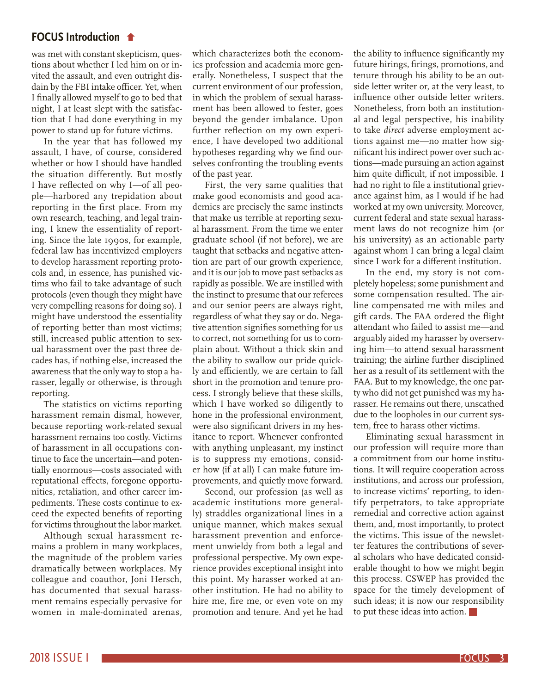### **FOCUS Introduction**

was met with constant skepticism, questions about whether I led him on or invited the assault, and even outright disdain by the FBI intake officer. Yet, when I finally allowed myself to go to bed that night, I at least slept with the satisfaction that I had done everything in my power to stand up for future victims.

In the year that has followed my assault, I have, of course, considered whether or how I should have handled the situation differently. But mostly I have reflected on why I—of all people—harbored any trepidation about reporting in the first place. From my own research, teaching, and legal training, I knew the essentiality of reporting. Since the late 1990s, for example, federal law has incentivized employers to develop harassment reporting protocols and, in essence, has punished victims who fail to take advantage of such protocols (even though they might have very compelling reasons for doing so). I might have understood the essentiality of reporting better than most victims; still, increased public attention to sexual harassment over the past three decades has, if nothing else, increased the awareness that the only way to stop a harasser, legally or otherwise, is through reporting.

The statistics on victims reporting harassment remain dismal, however, because reporting work-related sexual harassment remains too costly. Victims of harassment in all occupations continue to face the uncertain—and potentially enormous—costs associated with reputational effects, foregone opportunities, retaliation, and other career impediments. These costs continue to exceed the expected benefits of reporting for victims throughout the labor market.

Although sexual harassment remains a problem in many workplaces, the magnitude of the problem varies dramatically between workplaces. My colleague and coauthor, Joni Hersch, has documented that sexual harassment remains especially pervasive for women in male-dominated arenas, which characterizes both the economics profession and academia more generally. Nonetheless, I suspect that the current environment of our profession, in which the problem of sexual harassment has been allowed to fester, goes beyond the gender imbalance. Upon further reflection on my own experience, I have developed two additional hypotheses regarding why we find ourselves confronting the troubling events of the past year.

First, the very same qualities that make good economists and good academics are precisely the same instincts that make us terrible at reporting sexual harassment. From the time we enter graduate school (if not before), we are taught that setbacks and negative attention are part of our growth experience, and it is our job to move past setbacks as rapidly as possible. We are instilled with the instinct to presume that our referees and our senior peers are always right, regardless of what they say or do. Negative attention signifies something for us to correct, not something for us to complain about. Without a thick skin and the ability to swallow our pride quickly and efficiently, we are certain to fall short in the promotion and tenure process. I strongly believe that these skills, which I have worked so diligently to hone in the professional environment, were also significant drivers in my hesitance to report. Whenever confronted with anything unpleasant, my instinct is to suppress my emotions, consider how (if at all) I can make future improvements, and quietly move forward.

Second, our profession (as well as academic institutions more generally) straddles organizational lines in a unique manner, which makes sexual harassment prevention and enforcement unwieldy from both a legal and professional perspective. My own experience provides exceptional insight into this point. My harasser worked at another institution. He had no ability to hire me, fire me, or even vote on my promotion and tenure. And yet he had

the ability to influence significantly my future hirings, firings, promotions, and tenure through his ability to be an outside letter writer or, at the very least, to influence other outside letter writers. Nonetheless, from both an institutional and legal perspective, his inability to take *direct* adverse employment actions against me—no matter how significant his indirect power over such actions—made pursuing an action against him quite difficult, if not impossible. I had no right to file a institutional grievance against him, as I would if he had worked at my own university. Moreover, current federal and state sexual harassment laws do not recognize him (or his university) as an actionable party against whom I can bring a legal claim since I work for a different institution.

In the end, my story is not completely hopeless; some punishment and some compensation resulted. The airline compensated me with miles and gift cards. The FAA ordered the flight attendant who failed to assist me—and arguably aided my harasser by overserving him—to attend sexual harassment training; the airline further disciplined her as a result of its settlement with the FAA. But to my knowledge, the one party who did not get punished was my harasser. He remains out there, unscathed due to the loopholes in our current system, free to harass other victims.

Eliminating sexual harassment in our profession will require more than a commitment from our home institutions. It will require cooperation across institutions, and across our profession, to increase victims' reporting, to identify perpetrators, to take appropriate remedial and corrective action against them, and, most importantly, to protect the victims. This issue of the newsletter features the contributions of several scholars who have dedicated considerable thought to how we might begin this process. CSWEP has provided the space for the timely development of such ideas; it is now our responsibility to put these ideas into action.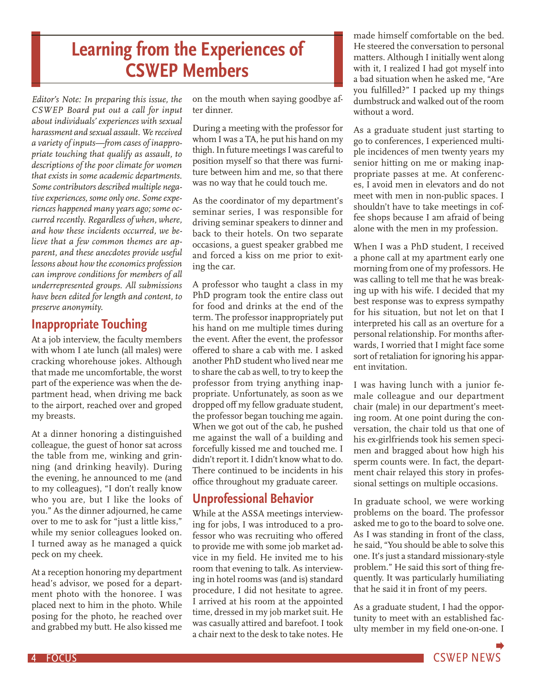# **Learning from the Experiences of CSWEP Members**

*Editor's Note: In preparing this issue, the CSWEP Board put out a call for input about individuals' experiences with sexual harassment and sexual assault. We received a variety of inputs—from cases of inappropriate touching that qualify as assault, to descriptions of the poor climate for women that exists in some academic departments. Some contributors described multiple negative experiences, some only one. Some experiences happened many years ago; some occurred recently. Regardless of when, where, and how these incidents occurred, we believe that a few common themes are apparent, and these anecdotes provide useful lessons about how the economics profession can improve conditions for members of all underrepresented groups. All submissions have been edited for length and content, to preserve anonymity.*

# **Inappropriate Touching**

At a job interview, the faculty members with whom I ate lunch (all males) were cracking whorehouse jokes. Although that made me uncomfortable, the worst part of the experience was when the department head, when driving me back to the airport, reached over and groped my breasts.

At a dinner honoring a distinguished colleague, the guest of honor sat across the table from me, winking and grinning (and drinking heavily). During the evening, he announced to me (and to my colleagues), "I don't really know who you are, but I like the looks of you." As the dinner adjourned, he came over to me to ask for "just a little kiss," while my senior colleagues looked on. I turned away as he managed a quick peck on my cheek.

At a reception honoring my department head's advisor, we posed for a department photo with the honoree. I was placed next to him in the photo. While posing for the photo, he reached over and grabbed my butt. He also kissed me on the mouth when saying goodbye after dinner.

During a meeting with the professor for whom I was a TA, he put his hand on my thigh. In future meetings I was careful to position myself so that there was furniture between him and me, so that there was no way that he could touch me.

As the coordinator of my department's seminar series, I was responsible for driving seminar speakers to dinner and back to their hotels. On two separate occasions, a guest speaker grabbed me and forced a kiss on me prior to exiting the car.

A professor who taught a class in my PhD program took the entire class out for food and drinks at the end of the term. The professor inappropriately put his hand on me multiple times during the event. After the event, the professor offered to share a cab with me. I asked another PhD student who lived near me to share the cab as well, to try to keep the professor from trying anything inappropriate. Unfortunately, as soon as we dropped off my fellow graduate student, the professor began touching me again. When we got out of the cab, he pushed me against the wall of a building and forcefully kissed me and touched me. I didn't report it. I didn't know what to do. There continued to be incidents in his office throughout my graduate career.

# **Unprofessional Behavior**

While at the ASSA meetings interviewing for jobs, I was introduced to a professor who was recruiting who offered to provide me with some job market advice in my field. He invited me to his room that evening to talk. As interviewing in hotel rooms was (and is) standard procedure, I did not hesitate to agree. I arrived at his room at the appointed time, dressed in my job market suit. He was casually attired and barefoot. I took a chair next to the desk to take notes. He made himself comfortable on the bed. He steered the conversation to personal matters. Although I initially went along with it, I realized I had got myself into a bad situation when he asked me, "Are you fulfilled?" I packed up my things dumbstruck and walked out of the room without a word.

As a graduate student just starting to go to conferences, I experienced multiple incidences of men twenty years my senior hitting on me or making inappropriate passes at me. At conferences, I avoid men in elevators and do not meet with men in non-public spaces. I shouldn't have to take meetings in coffee shops because I am afraid of being alone with the men in my profession.

When I was a PhD student, I received a phone call at my apartment early one morning from one of my professors. He was calling to tell me that he was breaking up with his wife. I decided that my best response was to express sympathy for his situation, but not let on that I interpreted his call as an overture for a personal relationship. For months afterwards, I worried that I might face some sort of retaliation for ignoring his apparent invitation.

I was having lunch with a junior female colleague and our department chair (male) in our department's meeting room. At one point during the conversation, the chair told us that one of his ex-girlfriends took his semen specimen and bragged about how high his sperm counts were. In fact, the department chair relayed this story in professional settings on multiple occasions.

In graduate school, we were working problems on the board. The professor asked me to go to the board to solve one. As I was standing in front of the class, he said, "You should be able to solve this one. It's just a standard missionary-style problem." He said this sort of thing frequently. It was particularly humiliating that he said it in front of my peers.

As a graduate student, I had the opportunity to meet with an established faculty member in my field one-on-one. I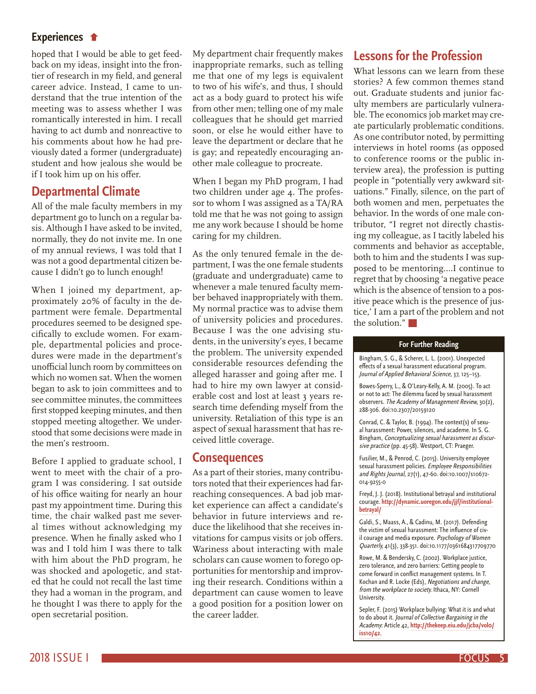### **Experiences**

hoped that I would be able to get feedback on my ideas, insight into the frontier of research in my field, and general career advice. Instead, I came to understand that the true intention of the meeting was to assess whether I was romantically interested in him. I recall having to act dumb and nonreactive to his comments about how he had previously dated a former (undergraduate) student and how jealous she would be if I took him up on his offer.

### **Departmental Climate**

All of the male faculty members in my department go to lunch on a regular basis. Although I have asked to be invited, normally, they do not invite me. In one of my annual reviews, I was told that I was not a good departmental citizen because I didn't go to lunch enough!

When I joined my department, approximately 20% of faculty in the department were female. Departmental procedures seemed to be designed specifically to exclude women. For example, departmental policies and procedures were made in the department's unofficial lunch room by committees on which no women sat. When the women began to ask to join committees and to see committee minutes, the committees first stopped keeping minutes, and then stopped meeting altogether. We understood that some decisions were made in the men's restroom.

Before I applied to graduate school, I went to meet with the chair of a program I was considering. I sat outside of his office waiting for nearly an hour past my appointment time. During this time, the chair walked past me several times without acknowledging my presence. When he finally asked who I was and I told him I was there to talk with him about the PhD program, he was shocked and apologetic, and stated that he could not recall the last time they had a woman in the program, and he thought I was there to apply for the open secretarial position.

My department chair frequently makes inappropriate remarks, such as telling me that one of my legs is equivalent to two of his wife's, and thus, I should act as a body guard to protect his wife from other men; telling one of my male colleagues that he should get married soon, or else he would either have to leave the department or declare that he is gay; and repeatedly encouraging another male colleague to procreate.

When I began my PhD program, I had two children under age 4. The professor to whom I was assigned as a TA/RA told me that he was not going to assign me any work because I should be home caring for my children.

As the only tenured female in the department, I was the one female students (graduate and undergraduate) came to whenever a male tenured faculty member behaved inappropriately with them. My normal practice was to advise them of university policies and procedures. Because I was the one advising students, in the university's eyes, I became the problem. The university expended considerable resources defending the alleged harasser and going after me. I had to hire my own lawyer at considerable cost and lost at least 3 years research time defending myself from the university. Retaliation of this type is an aspect of sexual harassment that has received little coverage.

#### **Consequences**

As a part of their stories, many contributors noted that their experiences had farreaching consequences. A bad job market experience can affect a candidate's behavior in future interviews and reduce the likelihood that she receives invitations for campus visits or job offers. Wariness about interacting with male scholars can cause women to forego opportunities for mentorship and improving their research. Conditions within a department can cause women to leave a good position for a position lower on the career ladder.

## **Lessons for the Profession**

What lessons can we learn from these stories? A few common themes stand out. Graduate students and junior faculty members are particularly vulnerable. The economics job market may create particularly problematic conditions. As one contributor noted, by permitting interviews in hotel rooms (as opposed to conference rooms or the public interview area), the profession is putting people in "potentially very awkward situations." Finally, silence, on the part of both women and men, perpetuates the behavior. In the words of one male contributor, "I regret not directly chastising my colleague, as I tacitly labeled his comments and behavior as acceptable, both to him and the students I was supposed to be mentoring.…I continue to regret that by choosing 'a negative peace which is the absence of tension to a positive peace which is the presence of justice,' I am a part of the problem and not the solution."

#### **For Further Reading**

Bingham, S. G., & Scherer, L. L. (2001). Unexpected effects of a sexual harassment educational program. Journal of Applied Behavioral Science, 37, 125–153.

Bowes-Sperry, L., & O'Leary-Kelly, A. M. (2005). To act or not to act: The dilemma faced by sexual harassment observers. The Academy of Management Review, 30(2), 288-306. doi:10.2307/20159120

Conrad, C. & Taylor, B. (1994). The context(s) of sexual harassment: Power, silences, and academe. In S. G. Bingham, Conceptualizing sexual harassment as discursive practice (pp. 45-58). Westport, CT: Praeger.

Fusilier, M., & Penrod, C. (2015). University employee sexual harassment policies. Employee Responsibilities and Rights Journal, 27(1), 47-60. doi:10.1007/s10672- 014-9255-0

Freyd, J. J. (2018). Institutional betrayal and institutional courage. **http://dynamic.uoregon.edu/jjf/institutionalbetrayal/**

Galdi, S., Maass, A., & Cadinu, M. (2017). Defending the victim of sexual harassment: The influence of civil courage and media exposure. Psychology of Women Quarterly, 41(3), 338-351. doi:10.1177/0361684317709770

Rowe, M. & Bendersky, C. (2002). Workplace justice, zero tolerance, and zero barriers: Getting people to come forward in conflict management systems. In T. Kochan and R. Locke (Eds), Negotiations and change, from the workplace to society. Ithaca, NY: Cornell University.

Sepler, F. (2015) Workplace bullying: What it is and what to do about it. Journal of Collective Bargaining in the Academy: Article 42, **http://thekeep.eiu.edu/jcba/vol0/ iss10/42**.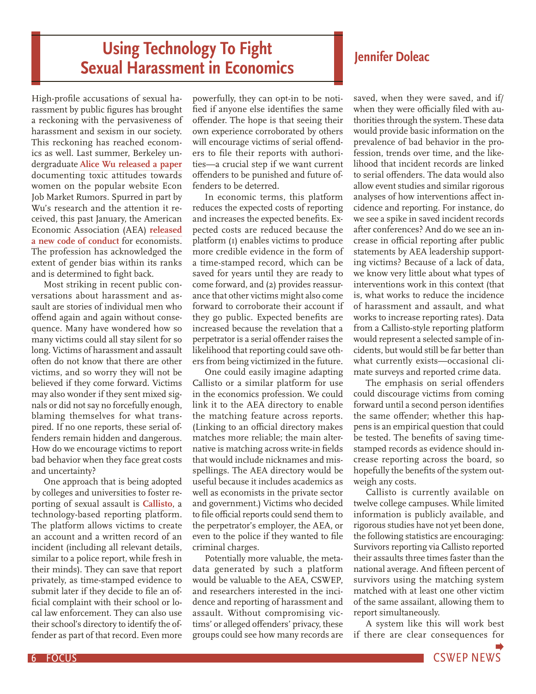# **Using Technology To Fight 19 Islamilary 19 Islamic Dividends Coleac Sexual Harassment in Economics**

High-profile accusations of sexual harassment by public figures has brought a reckoning with the pervasiveness of harassment and sexism in our society. This reckoning has reached economics as well. Last summer, Berkeley undergraduate **Alice Wu released a paper** documenting toxic attitudes towards women on the popular website Econ Job Market Rumors. Spurred in part by Wu's research and the attention it received, this past January, the American Economic Association (AEA) **released a new code of conduct** for economists. The profession has acknowledged the extent of gender bias within its ranks and is determined to fight back.

Most striking in recent public conversations about harassment and assault are stories of individual men who offend again and again without consequence. Many have wondered how so many victims could all stay silent for so long. Victims of harassment and assault often do not know that there are other victims, and so worry they will not be believed if they come forward. Victims may also wonder if they sent mixed signals or did not say no forcefully enough, blaming themselves for what transpired. If no one reports, these serial offenders remain hidden and dangerous. How do we encourage victims to report bad behavior when they face great costs and uncertainty?

One approach that is being adopted by colleges and universities to foster reporting of sexual assault is **Callisto**, a technology-based reporting platform. The platform allows victims to create an account and a written record of an incident (including all relevant details, similar to a police report, while fresh in their minds). They can save that report privately, as time-stamped evidence to submit later if they decide to file an official complaint with their school or local law enforcement. They can also use their school's directory to identify the offender as part of that record. Even more

powerfully, they can opt-in to be notified if anyone else identifies the same offender. The hope is that seeing their own experience corroborated by others will encourage victims of serial offenders to file their reports with authorities—a crucial step if we want current offenders to be punished and future offenders to be deterred.

In economic terms, this platform reduces the expected costs of reporting and increases the expected benefits. Expected costs are reduced because the platform (1) enables victims to produce more credible evidence in the form of a time-stamped record, which can be saved for years until they are ready to come forward, and (2) provides reassurance that other victims might also come forward to corroborate their account if they go public. Expected benefits are increased because the revelation that a perpetrator is a serial offender raises the likelihood that reporting could save others from being victimized in the future.

One could easily imagine adapting Callisto or a similar platform for use in the economics profession. We could link it to the AEA directory to enable the matching feature across reports. (Linking to an official directory makes matches more reliable; the main alternative is matching across write-in fields that would include nicknames and misspellings. The AEA directory would be useful because it includes academics as well as economists in the private sector and government.) Victims who decided to file official reports could send them to the perpetrator's employer, the AEA, or even to the police if they wanted to file criminal charges.

Potentially more valuable, the metadata generated by such a platform would be valuable to the AEA, CSWEP, and researchers interested in the incidence and reporting of harassment and assault. Without compromising victims' or alleged offenders' privacy, these groups could see how many records are

saved, when they were saved, and if/ when they were officially filed with authorities through the system. These data would provide basic information on the prevalence of bad behavior in the profession, trends over time, and the likelihood that incident records are linked to serial offenders. The data would also allow event studies and similar rigorous analyses of how interventions affect incidence and reporting. For instance, do we see a spike in saved incident records after conferences? And do we see an increase in official reporting after public statements by AEA leadership supporting victims? Because of a lack of data, we know very little about what types of interventions work in this context (that is, what works to reduce the incidence of harassment and assault, and what works to increase reporting rates). Data from a Callisto-style reporting platform would represent a selected sample of incidents, but would still be far better than what currently exists—occasional climate surveys and reported crime data.

The emphasis on serial offenders could discourage victims from coming forward until a second person identifies the same offender; whether this happens is an empirical question that could be tested. The benefits of saving timestamped records as evidence should increase reporting across the board, so hopefully the benefits of the system outweigh any costs.

Callisto is currently available on twelve college campuses. While limited information is publicly available, and rigorous studies have not yet been done, the following statistics are encouraging: Survivors reporting via Callisto reported their assaults three times faster than the national average. And fifteen percent of survivors using the matching system matched with at least one other victim of the same assailant, allowing them to report simultaneously.

A system like this will work best if there are clear consequences for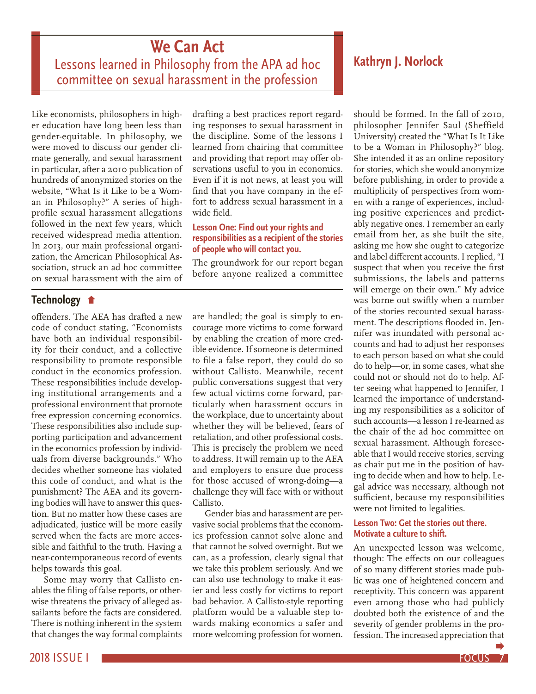# **We Can Act**

Lessons learned in Philosophy from the APA ad hoc committee on sexual harassment in the profession

Like economists, philosophers in higher education have long been less than gender-equitable. In philosophy, we were moved to discuss our gender climate generally, and sexual harassment in particular, after a 2010 publication of hundreds of anonymized stories on the website, "What Is it Like to be a Woman in Philosophy?" A series of highprofile sexual harassment allegations followed in the next few years, which received widespread media attention. In 2013, our main professional organization, the American Philosophical Association, struck an ad hoc committee on sexual harassment with the aim of

drafting a best practices report regarding responses to sexual harassment in the discipline. Some of the lessons I learned from chairing that committee and providing that report may offer observations useful to you in economics. Even if it is not news, at least you will find that you have company in the effort to address sexual harassment in a wide field.

#### **Lesson One: Find out your rights and responsibilities as a recipient of the stories of people who will contact you.**

The groundwork for our report began before anyone realized a committee

## **Technology**

offenders. The AEA has drafted a new code of conduct stating, "Economists have both an individual responsibility for their conduct, and a collective responsibility to promote responsible conduct in the economics profession. These responsibilities include developing institutional arrangements and a professional environment that promote free expression concerning economics. These responsibilities also include supporting participation and advancement in the economics profession by individuals from diverse backgrounds." Who decides whether someone has violated this code of conduct, and what is the punishment? The AEA and its governing bodies will have to answer this question. But no matter how these cases are adjudicated, justice will be more easily served when the facts are more accessible and faithful to the truth. Having a near-contemporaneous record of events helps towards this goal.

Some may worry that Callisto enables the filing of false reports, or otherwise threatens the privacy of alleged assailants before the facts are considered. There is nothing inherent in the system that changes the way formal complaints

are handled; the goal is simply to encourage more victims to come forward by enabling the creation of more credible evidence. If someone is determined to file a false report, they could do so without Callisto. Meanwhile, recent public conversations suggest that very few actual victims come forward, particularly when harassment occurs in the workplace, due to uncertainty about whether they will be believed, fears of retaliation, and other professional costs. This is precisely the problem we need to address. It will remain up to the AEA and employers to ensure due process for those accused of wrong-doing—a challenge they will face with or without Callisto.

Gender bias and harassment are pervasive social problems that the economics profession cannot solve alone and that cannot be solved overnight. But we can, as a profession, clearly signal that we take this problem seriously. And we can also use technology to make it easier and less costly for victims to report bad behavior. A Callisto-style reporting platform would be a valuable step towards making economics a safer and more welcoming profession for women.

## **Kathryn J. Norlock**

should be formed. In the fall of 2010, philosopher Jennifer Saul (Sheffield University) created the "What Is It Like to be a Woman in Philosophy?" blog. She intended it as an online repository for stories, which she would anonymize before publishing, in order to provide a multiplicity of perspectives from women with a range of experiences, including positive experiences and predictably negative ones. I remember an early email from her, as she built the site, asking me how she ought to categorize and label different accounts. I replied, "I suspect that when you receive the first submissions, the labels and patterns will emerge on their own." My advice was borne out swiftly when a number of the stories recounted sexual harassment. The descriptions flooded in. Jennifer was inundated with personal accounts and had to adjust her responses to each person based on what she could do to help—or, in some cases, what she could not or should not do to help. After seeing what happened to Jennifer, I learned the importance of understanding my responsibilities as a solicitor of such accounts—a lesson I re-learned as the chair of the ad hoc committee on sexual harassment. Although foreseeable that I would receive stories, serving as chair put me in the position of having to decide when and how to help. Legal advice was necessary, although not sufficient, because my responsibilities were not limited to legalities.

#### **Lesson Two: Get the stories out there. Motivate a culture to shift.**

An unexpected lesson was welcome, though: The effects on our colleagues of so many different stories made public was one of heightened concern and receptivity. This concern was apparent even among those who had publicly doubted both the existence of and the severity of gender problems in the profession. The increased appreciation that

2018 ISSUE I FOCUS 7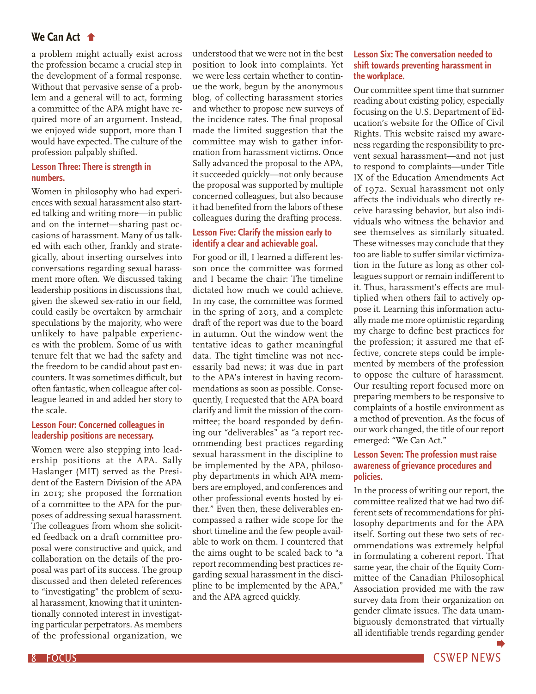#### **We Can Act**

a problem might actually exist across the profession became a crucial step in the development of a formal response. Without that pervasive sense of a problem and a general will to act, forming a committee of the APA might have required more of an argument. Instead, we enjoyed wide support, more than I would have expected. The culture of the profession palpably shifted.

#### **Lesson Three: There is strength in numbers.**

Women in philosophy who had experiences with sexual harassment also started talking and writing more—in public and on the internet—sharing past occasions of harassment. Many of us talked with each other, frankly and strategically, about inserting ourselves into conversations regarding sexual harassment more often. We discussed taking leadership positions in discussions that, given the skewed sex-ratio in our field, could easily be overtaken by armchair speculations by the majority, who were unlikely to have palpable experiences with the problem. Some of us with tenure felt that we had the safety and the freedom to be candid about past encounters. It was sometimes difficult, but often fantastic, when colleague after colleague leaned in and added her story to the scale.

#### **Lesson Four: Concerned colleagues in leadership positions are necessary.**

Women were also stepping into leadership positions at the APA. Sally Haslanger (MIT) served as the President of the Eastern Division of the APA in 2013; she proposed the formation of a committee to the APA for the purposes of addressing sexual harassment. The colleagues from whom she solicited feedback on a draft committee proposal were constructive and quick, and collaboration on the details of the proposal was part of its success. The group discussed and then deleted references to "investigating" the problem of sexual harassment, knowing that it unintentionally connoted interest in investigating particular perpetrators. As members of the professional organization, we

understood that we were not in the best position to look into complaints. Yet we were less certain whether to continue the work, begun by the anonymous blog, of collecting harassment stories and whether to propose new surveys of the incidence rates. The final proposal made the limited suggestion that the committee may wish to gather information from harassment victims. Once Sally advanced the proposal to the APA, it succeeded quickly—not only because the proposal was supported by multiple concerned colleagues, but also because it had benefited from the labors of these colleagues during the drafting process.

#### **Lesson Five: Clarify the mission early to identify a clear and achievable goal.**

For good or ill, I learned a different lesson once the committee was formed and I became the chair: The timeline dictated how much we could achieve. In my case, the committee was formed in the spring of 2013, and a complete draft of the report was due to the board in autumn. Out the window went the tentative ideas to gather meaningful data. The tight timeline was not necessarily bad news; it was due in part to the APA's interest in having recommendations as soon as possible. Consequently, I requested that the APA board clarify and limit the mission of the committee; the board responded by defining our "deliverables" as "a report recommending best practices regarding sexual harassment in the discipline to be implemented by the APA, philosophy departments in which APA members are employed, and conferences and other professional events hosted by either." Even then, these deliverables encompassed a rather wide scope for the short timeline and the few people available to work on them. I countered that the aims ought to be scaled back to "a report recommending best practices regarding sexual harassment in the discipline to be implemented by the APA," and the APA agreed quickly.

#### **Lesson Six: The conversation needed to shift towards preventing harassment in the workplace.**

Our committee spent time that summer reading about existing policy, especially focusing on the U.S. Department of Education's website for the Office of Civil Rights. This website raised my awareness regarding the responsibility to prevent sexual harassment—and not just to respond to complaints—under Title IX of the Education Amendments Act of 1972. Sexual harassment not only affects the individuals who directly receive harassing behavior, but also individuals who witness the behavior and see themselves as similarly situated. These witnesses may conclude that they too are liable to suffer similar victimization in the future as long as other colleagues support or remain indifferent to it. Thus, harassment's effects are multiplied when others fail to actively oppose it. Learning this information actually made me more optimistic regarding my charge to define best practices for the profession; it assured me that effective, concrete steps could be implemented by members of the profession to oppose the culture of harassment. Our resulting report focused more on preparing members to be responsive to complaints of a hostile environment as a method of prevention. As the focus of our work changed, the title of our report emerged: "We Can Act."

#### **Lesson Seven: The profession must raise awareness of grievance procedures and policies.**

In the process of writing our report, the committee realized that we had two different sets of recommendations for philosophy departments and for the APA itself. Sorting out these two sets of recommendations was extremely helpful in formulating a coherent report. That same year, the chair of the Equity Committee of the Canadian Philosophical Association provided me with the raw survey data from their organization on gender climate issues. The data unambiguously demonstrated that virtually all identifiable trends regarding gender

8 FOCUS And the second contract of the second contract of the second contract of the CSWEP NEWS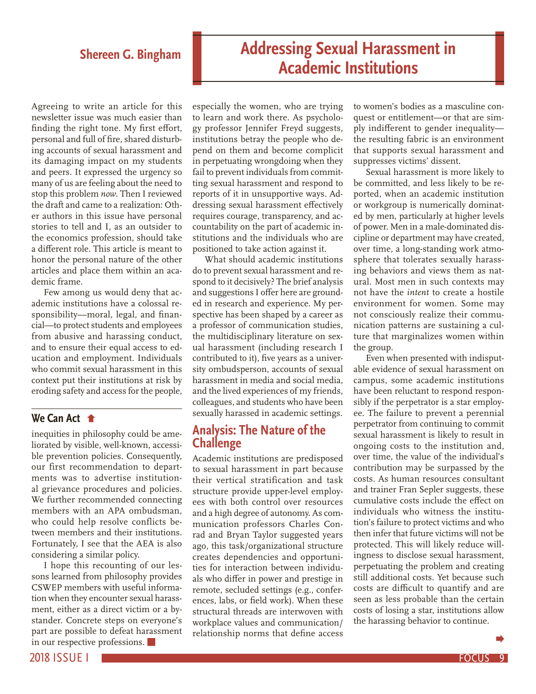# **Shereen G. Bingham Addressing Sexual Harassment in Academic Institutions**

Agreeing to write an article for this newsletter issue was much easier than finding the right tone. My first effort, personal and full of fire, shared disturbing accounts of sexual harassment and its damaging impact on my students and peers. It expressed the urgency so many of us are feeling about the need to stop this problem *now*. Then I reviewed the draft and came to a realization: Other authors in this issue have personal stories to tell and I, as an outsider to the economics profession, should take a different role. This article is meant to honor the personal nature of the other articles and place them within an academic frame.

Few among us would deny that academic institutions have a colossal responsibility—moral, legal, and financial—to protect students and employees from abusive and harassing conduct, and to ensure their equal access to education and employment. Individuals who commit sexual harassment in this context put their institutions at risk by eroding safety and access for the people,

### **We Can Act**

inequities in philosophy could be ameliorated by visible, well-known, accessible prevention policies. Consequently, our first recommendation to departments was to advertise institutional grievance procedures and policies. We further recommended connecting members with an APA ombudsman, who could help resolve conflicts between members and their institutions. Fortunately, I see that the AEA is also considering a similar policy.

I hope this recounting of our lessons learned from philosophy provides CSWEP members with useful information when they encounter sexual harassment, either as a direct victim or a bystander. Concrete steps on everyone's part are possible to defeat harassment in our respective professions.

especially the women, who are trying to learn and work there. As psychology professor Jennifer Freyd suggests, institutions betray the people who depend on them and become complicit in perpetuating wrongdoing when they fail to prevent individuals from committing sexual harassment and respond to reports of it in unsupportive ways. Addressing sexual harassment effectively requires courage, transparency, and accountability on the part of academic institutions and the individuals who are positioned to take action against it.

What should academic institutions do to prevent sexual harassment and respond to it decisively? The brief analysis and suggestions I offer here are grounded in research and experience. My perspective has been shaped by a career as a professor of communication studies, the multidisciplinary literature on sexual harassment (including research I contributed to it), five years as a university ombudsperson, accounts of sexual harassment in media and social media, and the lived experiences of my friends, colleagues, and students who have been sexually harassed in academic settings.

### **Analysis: The Nature of the Challenge**

Academic institutions are predisposed to sexual harassment in part because their vertical stratification and task structure provide upper-level employees with both control over resources and a high degree of autonomy. As communication professors Charles Conrad and Bryan Taylor suggested years ago, this task/organizational structure creates dependencies and opportunities for interaction between individuals who differ in power and prestige in remote, secluded settings (e.g., conferences, labs, or field work). When these structural threads are interwoven with workplace values and communication/ relationship norms that define access to women's bodies as a masculine conquest or entitlement—or that are simply indifferent to gender inequality the resulting fabric is an environment that supports sexual harassment and suppresses victims' dissent.

Sexual harassment is more likely to be committed, and less likely to be reported, when an academic institution or workgroup is numerically dominated by men, particularly at higher levels of power. Men in a male-dominated discipline or department may have created, over time, a long-standing work atmosphere that tolerates sexually harassing behaviors and views them as natural. Most men in such contexts may not have the *intent* to create a hostile environment for women. Some may not consciously realize their communication patterns are sustaining a culture that marginalizes women within the group.

Even when presented with indisputable evidence of sexual harassment on campus, some academic institutions have been reluctant to respond responsibly if the perpetrator is a star employee. The failure to prevent a perennial perpetrator from continuing to commit sexual harassment is likely to result in ongoing costs to the institution and, over time, the value of the individual's contribution may be surpassed by the costs. As human resources consultant and trainer Fran Sepler suggests, these cumulative costs include the effect on individuals who witness the institution's failure to protect victims and who then infer that future victims will not be protected. This will likely reduce willingness to disclose sexual harassment, perpetuating the problem and creating still additional costs. Yet because such costs are difficult to quantify and are seen as less probable than the certain costs of losing a star, institutions allow the harassing behavior to continue.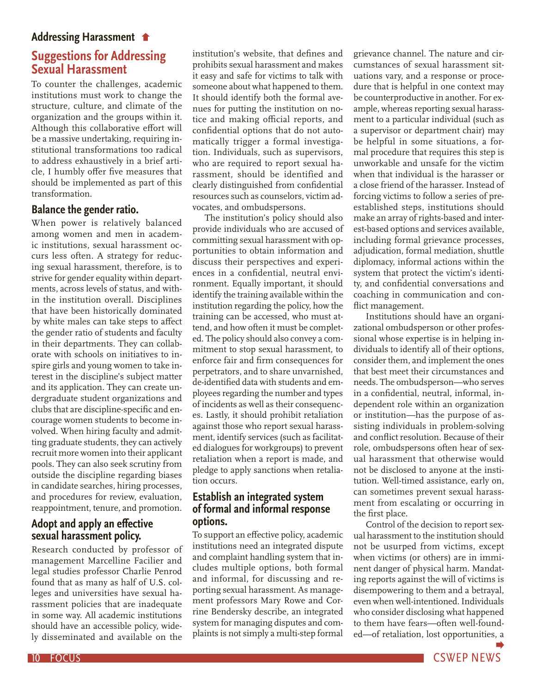#### **Addressing Harassment**

# **Suggestions for Addressing Sexual Harassment**

To counter the challenges, academic institutions must work to change the structure, culture, and climate of the organization and the groups within it. Although this collaborative effort will be a massive undertaking, requiring institutional transformations too radical to address exhaustively in a brief article, I humbly offer five measures that should be implemented as part of this transformation.

#### **Balance the gender ratio.**

When power is relatively balanced among women and men in academic institutions, sexual harassment occurs less often. A strategy for reducing sexual harassment, therefore, is to strive for gender equality within departments, across levels of status, and within the institution overall. Disciplines that have been historically dominated by white males can take steps to affect the gender ratio of students and faculty in their departments. They can collaborate with schools on initiatives to inspire girls and young women to take interest in the discipline's subject matter and its application. They can create undergraduate student organizations and clubs that are discipline-specific and encourage women students to become involved. When hiring faculty and admitting graduate students, they can actively recruit more women into their applicant pools. They can also seek scrutiny from outside the discipline regarding biases in candidate searches, hiring processes, and procedures for review, evaluation, reappointment, tenure, and promotion.

### **Adopt and apply an effective sexual harassment policy.**

Research conducted by professor of management Marcelline Facilier and legal studies professor Charlie Penrod found that as many as half of U.S. colleges and universities have sexual harassment policies that are inadequate in some way. All academic institutions should have an accessible policy, widely disseminated and available on the

institution's website, that defines and prohibits sexual harassment and makes it easy and safe for victims to talk with someone about what happened to them. It should identify both the formal avenues for putting the institution on notice and making official reports, and confidential options that do not automatically trigger a formal investigation. Individuals, such as supervisors, who are required to report sexual harassment, should be identified and clearly distinguished from confidential resources such as counselors, victim advocates, and ombudspersons.

The institution's policy should also provide individuals who are accused of committing sexual harassment with opportunities to obtain information and discuss their perspectives and experiences in a confidential, neutral environment. Equally important, it should identify the training available within the institution regarding the policy, how the training can be accessed, who must attend, and how often it must be completed. The policy should also convey a commitment to stop sexual harassment, to enforce fair and firm consequences for perpetrators, and to share unvarnished, de-identified data with students and employees regarding the number and types of incidents as well as their consequences. Lastly, it should prohibit retaliation against those who report sexual harassment, identify services (such as facilitated dialogues for workgroups) to prevent retaliation when a report is made, and pledge to apply sanctions when retaliation occurs.

#### **Establish an integrated system of formal and informal response options.**

To support an effective policy, academic institutions need an integrated dispute and complaint handling system that includes multiple options, both formal and informal, for discussing and reporting sexual harassment. As management professors Mary Rowe and Corrine Bendersky describe, an integrated system for managing disputes and complaints is not simply a multi-step formal

grievance channel. The nature and circumstances of sexual harassment situations vary, and a response or procedure that is helpful in one context may be counterproductive in another. For example, whereas reporting sexual harassment to a particular individual (such as a supervisor or department chair) may be helpful in some situations, a formal procedure that requires this step is unworkable and unsafe for the victim when that individual is the harasser or a close friend of the harasser. Instead of forcing victims to follow a series of preestablished steps, institutions should make an array of rights-based and interest-based options and services available, including formal grievance processes, adjudication, formal mediation, shuttle diplomacy, informal actions within the system that protect the victim's identity, and confidential conversations and coaching in communication and conflict management.

Institutions should have an organizational ombudsperson or other professional whose expertise is in helping individuals to identify all of their options, consider them, and implement the ones that best meet their circumstances and needs. The ombudsperson—who serves in a confidential, neutral, informal, independent role within an organization or institution—has the purpose of assisting individuals in problem-solving and conflict resolution. Because of their role, ombudspersons often hear of sexual harassment that otherwise would not be disclosed to anyone at the institution. Well-timed assistance, early on, can sometimes prevent sexual harassment from escalating or occurring in the first place.

Control of the decision to report sexual harassment to the institution should not be usurped from victims, except when victims (or others) are in imminent danger of physical harm. Mandating reports against the will of victims is disempowering to them and a betrayal, even when well-intentioned. Individuals who consider disclosing what happened to them have fears—often well-founded—of retaliation, lost opportunities, a